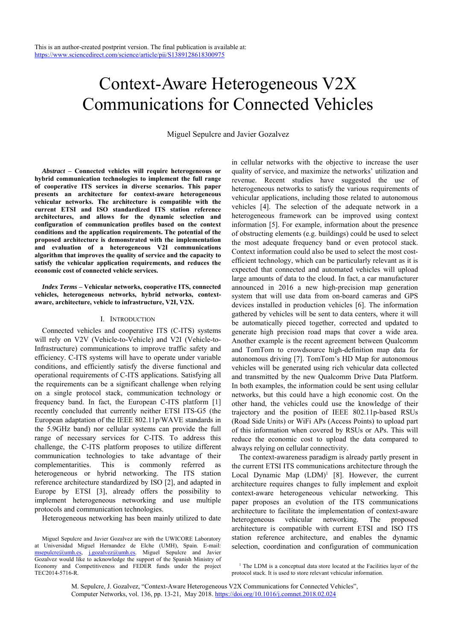# Context-Aware Heterogeneous V2X Communications for Connected Vehicles

Miguel Sepulcre and Javier Gozalvez

*Abstract* **– Connected vehicles will require heterogeneous or hybrid communication technologies to implement the full range of cooperative ITS services in diverse scenarios. This paper presents an architecture for context-aware heterogeneous vehicular networks. The architecture is compatible with the current ETSI and ISO standardized ITS station reference architectures, and allows for the dynamic selection and configuration of communication profiles based on the context conditions and the application requirements. The potential of the proposed architecture is demonstrated with the implementation and evaluation of a heterogeneous V2I communications algorithm that improves the quality of service and the capacity to satisfy the vehicular application requirements, and reduces the economic cost of connected vehicle services.** 

*Index Terms* **– Vehicular networks, cooperative ITS, connected vehicles, heterogeneous networks, hybrid networks, contextaware, architecture, vehicle to infrastructure, V2I, V2X.** 

#### I. INTRODUCTION

Connected vehicles and cooperative ITS (C-ITS) systems will rely on V2V (Vehicle-to-Vehicle) and V2I (Vehicle-to-Infrastructure) communications to improve traffic safety and efficiency. C-ITS systems will have to operate under variable conditions, and efficiently satisfy the diverse functional and operational requirements of C-ITS applications. Satisfying all the requirements can be a significant challenge when relying on a single protocol stack, communication technology or frequency band. In fact, the European C-ITS platform [1] recently concluded that currently neither ETSI ITS-G5 (the European adaptation of the IEEE 802.11p/WAVE standards in the 5.9GHz band) nor cellular systems can provide the full range of necessary services for C-ITS. To address this challenge, the C-ITS platform proposes to utilize different communication technologies to take advantage of their complementarities. This is commonly referred as heterogeneous or hybrid networking. The ITS station reference architecture standardized by ISO [2], and adapted in Europe by ETSI [3], already offers the possibility to implement heterogeneous networking and use multiple protocols and communication technologies.

Heterogeneous networking has been mainly utilized to date

in cellular networks with the objective to increase the user quality of service, and maximize the networks' utilization and revenue. Recent studies have suggested the use of heterogeneous networks to satisfy the various requirements of vehicular applications, including those related to autonomous vehicles [4]. The selection of the adequate network in a heterogeneous framework can be improved using context information [5]. For example, information about the presence of obstructing elements (e.g. buildings) could be used to select the most adequate frequency band or even protocol stack. Context information could also be used to select the most costefficient technology, which can be particularly relevant as it is expected that connected and automated vehicles will upload large amounts of data to the cloud. In fact, a car manufacturer announced in 2016 a new high-precision map generation system that will use data from on-board cameras and GPS devices installed in production vehicles [6]. The information gathered by vehicles will be sent to data centers, where it will be automatically pieced together, corrected and updated to generate high precision road maps that cover a wide area. Another example is the recent agreement between Qualcomm and TomTom to crowdsource high-definition map data for autonomous driving [7]. TomTom's HD Map for autonomous vehicles will be generated using rich vehicular data collected and transmitted by the new Qualcomm Drive Data Platform. In both examples, the information could be sent using cellular networks, but this could have a high economic cost. On the other hand, the vehicles could use the knowledge of their trajectory and the position of IEEE 802.11p-based RSUs (Road Side Units) or WiFi APs (Access Points) to upload part of this information when covered by RSUs or APs. This will reduce the economic cost to upload the data compared to always relying on cellular connectivity.

The context-awareness paradigm is already partly present in the current ETSI ITS communications architecture through the Local Dynamic Map  $(LDM)^1$  [8]. However, the current architecture requires changes to fully implement and exploit context-aware heterogeneous vehicular networking. This paper proposes an evolution of the ITS communications architecture to facilitate the implementation of context-aware heterogeneous vehicular networking. The proposed architecture is compatible with current ETSI and ISO ITS station reference architecture, and enables the dynamic selection, coordination and configuration of communication

<sup>1</sup> The LDM is a conceptual data store located at the Facilities layer of the protocol stack. It is used to store relevant vehicular information.

Miguel Sepulcre and Javier Gozalvez are with the UWICORE Laboratory at Universidad Miguel Hernandez de Elche (UMH), Spain. E-mail: msepulcre@umh.es, j.gozalvez@umh.es. Miguel Sepulcre and Javier Gozalvez would like to acknowledge the support of the Spanish Ministry of Economy and Competitiveness and FEDER funds under the project TEC2014-5716-R.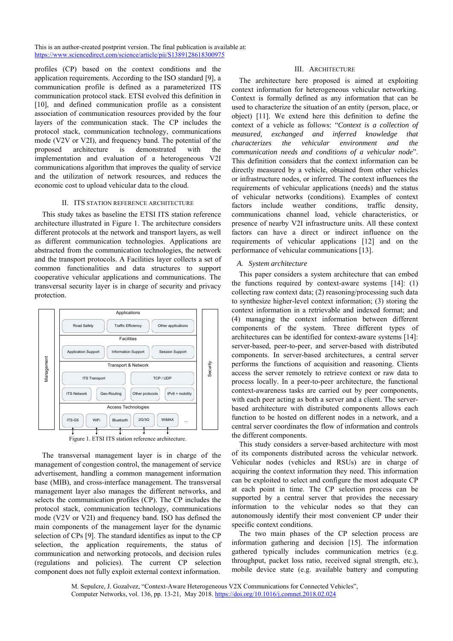profiles (CP) based on the context conditions and the application requirements. According to the ISO standard [9], a communication profile is defined as a parameterized ITS communication protocol stack. ETSI evolved this definition in [10], and defined communication profile as a consistent association of communication resources provided by the four layers of the communication stack. The CP includes the protocol stack, communication technology, communications mode (V2V or V2I), and frequency band. The potential of the proposed architecture is demonstrated with the implementation and evaluation of a heterogeneous V2I communications algorithm that improves the quality of service and the utilization of network resources, and reduces the economic cost to upload vehicular data to the cloud.

### II. ITS STATION REFERENCE ARCHITECTURE

This study takes as baseline the ETSI ITS station reference architecture illustrated in Figure 1. The architecture considers different protocols at the network and transport layers, as well as different communication technologies. Applications are abstracted from the communication technologies, the network and the transport protocols. A Facilities layer collects a set of common functionalities and data structures to support cooperative vehicular applications and communications. The transversal security layer is in charge of security and privacy protection.



The transversal management layer is in charge of the management of congestion control, the management of service advertisement, handling a common management information base (MIB), and cross-interface management. The transversal management layer also manages the different networks, and selects the communication profiles (CP). The CP includes the protocol stack, communication technology, communications mode (V2V or V2I) and frequency band. ISO has defined the main components of the management layer for the dynamic selection of CPs [9]. The standard identifies as input to the CP selection, the application requirements, the status of communication and networking protocols, and decision rules (regulations and policies). The current CP selection component does not fully exploit external context information.

# III. ARCHITECTURE

The architecture here proposed is aimed at exploiting context information for heterogeneous vehicular networking. Context is formally defined as any information that can be used to characterize the situation of an entity (person, place, or object) [11]. We extend here this definition to define the context of a vehicle as follows: "*Context is a collection of measured, exchanged and inferred knowledge that characterizes the vehicular environment and the communication needs and conditions of a vehicular node*". This definition considers that the context information can be directly measured by a vehicle, obtained from other vehicles or infrastructure nodes, or inferred. The context influences the requirements of vehicular applications (needs) and the status of vehicular networks (conditions). Examples of context factors include weather conditions, traffic density, communications channel load, vehicle characteristics, or presence of nearby V2I infrastructure units. All these context factors can have a direct or indirect influence on the requirements of vehicular applications [12] and on the performance of vehicular communications [13].

### *A. System architecture*

This paper considers a system architecture that can embed the functions required by context-aware systems [14]: (1) collecting raw context data; (2) reasoning/processing such data to synthesize higher-level context information; (3) storing the context information in a retrievable and indexed format; and (4) managing the context information between different components of the system. Three different types of architectures can be identified for context-aware systems [14]: server-based, peer-to-peer, and server-based with distributed components. In server-based architectures, a central server performs the functions of acquisition and reasoning. Clients access the server remotely to retrieve context or raw data to process locally. In a peer-to-peer architecture, the functional context-awareness tasks are carried out by peer components, with each peer acting as both a server and a client. The serverbased architecture with distributed components allows each function to be hosted on different nodes in a network, and a central server coordinates the flow of information and controls the different components.

This study considers a server-based architecture with most of its components distributed across the vehicular network. Vehicular nodes (vehicles and RSUs) are in charge of acquiring the context information they need. This information can be exploited to select and configure the most adequate CP at each point in time. The CP selection process can be supported by a central server that provides the necessary information to the vehicular nodes so that they can autonomously identify their most convenient CP under their specific context conditions.

The two main phases of the CP selection process are information gathering and decision [15]. The information gathered typically includes communication metrics (e.g. throughput, packet loss ratio, received signal strength, etc.), mobile device state (e.g. available battery and computing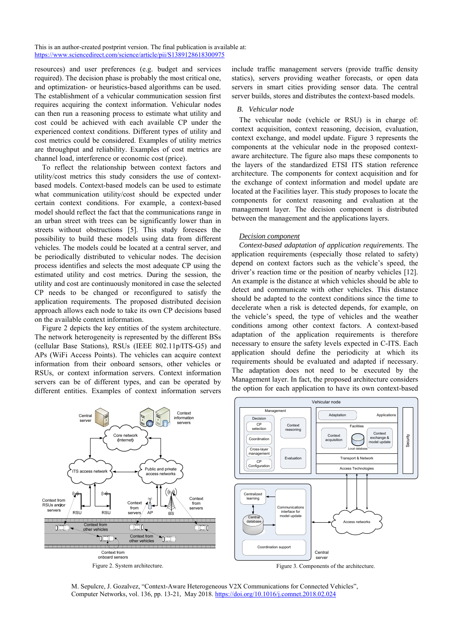resources) and user preferences (e.g. budget and services required). The decision phase is probably the most critical one, and optimization- or heuristics-based algorithms can be used. The establishment of a vehicular communication session first requires acquiring the context information. Vehicular nodes can then run a reasoning process to estimate what utility and cost could be achieved with each available CP under the experienced context conditions. Different types of utility and cost metrics could be considered. Examples of utility metrics are throughput and reliability. Examples of cost metrics are channel load, interference or economic cost (price).

To reflect the relationship between context factors and utility/cost metrics this study considers the use of contextbased models. Context-based models can be used to estimate what communication utility/cost should be expected under certain context conditions. For example, a context-based model should reflect the fact that the communications range in an urban street with trees can be significantly lower than in streets without obstructions [5]. This study foresees the possibility to build these models using data from different vehicles. The models could be located at a central server, and be periodically distributed to vehicular nodes. The decision process identifies and selects the most adequate CP using the estimated utility and cost metrics. During the session, the utility and cost are continuously monitored in case the selected CP needs to be changed or reconfigured to satisfy the application requirements. The proposed distributed decision approach allows each node to take its own CP decisions based on the available context information.

Figure 2 depicts the key entities of the system architecture. The network heterogeneity is represented by the different BSs (cellular Base Stations), RSUs (IEEE 802.11p/ITS-G5) and APs (WiFi Access Points). The vehicles can acquire context information from their onboard sensors, other vehicles or RSUs, or context information servers. Context information servers can be of different types, and can be operated by different entities. Examples of context information servers include traffic management servers (provide traffic density statics), servers providing weather forecasts, or open data servers in smart cities providing sensor data. The central server builds, stores and distributes the context-based models.

# *B. Vehicular node*

The vehicular node (vehicle or RSU) is in charge of: context acquisition, context reasoning, decision, evaluation, context exchange, and model update. Figure 3 represents the components at the vehicular node in the proposed contextaware architecture. The figure also maps these components to the layers of the standardized ETSI ITS station reference architecture. The components for context acquisition and for the exchange of context information and model update are located at the Facilities layer. This study proposes to locate the components for context reasoning and evaluation at the management layer. The decision component is distributed between the management and the applications layers.

#### *Decision component*

*Context-based adaptation of application requirements*. The application requirements (especially those related to safety) depend on context factors such as the vehicle's speed, the driver's reaction time or the position of nearby vehicles [12]. An example is the distance at which vehicles should be able to detect and communicate with other vehicles. This distance should be adapted to the context conditions since the time to decelerate when a risk is detected depends, for example, on the vehicle's speed, the type of vehicles and the weather conditions among other context factors. A context-based adaptation of the application requirements is therefore necessary to ensure the safety levels expected in C-ITS. Each application should define the periodicity at which its requirements should be evaluated and adapted if necessary. The adaptation does not need to be executed by the Management layer. In fact, the proposed architecture considers the option for each application to have its own context-based



M. Sepulcre, J. Gozalvez, "Context-Aware Heterogeneous V2X Communications for Connected Vehicles", Computer Networks, vol. 136, pp. 13-21, May 2018. https://doi.org/10.1016/j.comnet.2018.02.024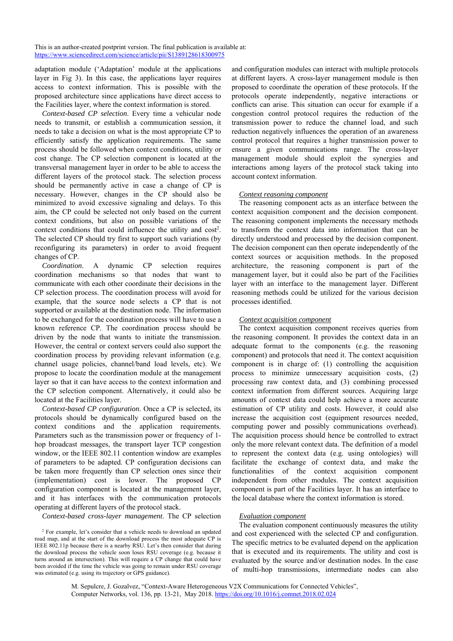adaptation module ('Adaptation' module at the applications layer in Fig 3). In this case, the applications layer requires access to context information. This is possible with the proposed architecture since applications have direct access to the Facilities layer, where the context information is stored.

*Context-based CP selection*. Every time a vehicular node needs to transmit, or establish a communication session, it needs to take a decision on what is the most appropriate CP to efficiently satisfy the application requirements. The same process should be followed when context conditions, utility or cost change. The CP selection component is located at the transversal management layer in order to be able to access the different layers of the protocol stack. The selection process should be permanently active in case a change of CP is necessary. However, changes in the CP should also be minimized to avoid excessive signaling and delays. To this aim, the CP could be selected not only based on the current context conditions, but also on possible variations of the context conditions that could influence the utility and cost<sup>2</sup>. The selected CP should try first to support such variations (by reconfiguring its parameters) in order to avoid frequent changes of CP.

*Coordination*. A dynamic CP selection requires coordination mechanisms so that nodes that want to communicate with each other coordinate their decisions in the CP selection process. The coordination process will avoid for example, that the source node selects a CP that is not supported or available at the destination node. The information to be exchanged for the coordination process will have to use a known reference CP. The coordination process should be driven by the node that wants to initiate the transmission. However, the central or context servers could also support the coordination process by providing relevant information (e.g. channel usage policies, channel/band load levels, etc). We propose to locate the coordination module at the management layer so that it can have access to the context information and the CP selection component. Alternatively, it could also be located at the Facilities layer.

*Context-based CP configuration*. Once a CP is selected, its protocols should be dynamically configured based on the context conditions and the application requirements. Parameters such as the transmission power or frequency of 1 hop broadcast messages, the transport layer TCP congestion window, or the IEEE 802.11 contention window are examples of parameters to be adapted. CP configuration decisions can be taken more frequently than CP selection ones since their (implementation) cost is lower. The proposed CP configuration component is located at the management layer, and it has interfaces with the communication protocols operating at different layers of the protocol stack.

*Context-based cross-layer management*. The CP selection

and configuration modules can interact with multiple protocols at different layers. A cross-layer management module is then proposed to coordinate the operation of these protocols. If the protocols operate independently, negative interactions or conflicts can arise. This situation can occur for example if a congestion control protocol requires the reduction of the transmission power to reduce the channel load, and such reduction negatively influences the operation of an awareness control protocol that requires a higher transmission power to ensure a given communications range. The cross-layer management module should exploit the synergies and interactions among layers of the protocol stack taking into account context information.

## *Context reasoning component*

The reasoning component acts as an interface between the context acquisition component and the decision component. The reasoning component implements the necessary methods to transform the context data into information that can be directly understood and processed by the decision component. The decision component can then operate independently of the context sources or acquisition methods. In the proposed architecture, the reasoning component is part of the management layer, but it could also be part of the Facilities layer with an interface to the management layer. Different reasoning methods could be utilized for the various decision processes identified.

## *Context acquisition component*

The context acquisition component receives queries from the reasoning component. It provides the context data in an adequate format to the components (e.g. the reasoning component) and protocols that need it. The context acquisition component is in charge of: (1) controlling the acquisition process to minimize unnecessary acquisition costs, (2) processing raw context data, and (3) combining processed context information from different sources. Acquiring large amounts of context data could help achieve a more accurate estimation of CP utility and costs. However, it could also increase the acquisition cost (equipment resources needed, computing power and possibly communications overhead). The acquisition process should hence be controlled to extract only the more relevant context data. The definition of a model to represent the context data (e.g. using ontologies) will facilitate the exchange of context data, and make the functionalities of the context acquisition component independent from other modules. The context acquisition component is part of the Facilities layer. It has an interface to the local database where the context information is stored.

# *Evaluation component*

The evaluation component continuously measures the utility and cost experienced with the selected CP and configuration. The specific metrics to be evaluated depend on the application that is executed and its requirements. The utility and cost is evaluated by the source and/or destination nodes. In the case of multi-hop transmissions, intermediate nodes can also

<sup>&</sup>lt;sup>2</sup> For example, let's consider that a vehicle needs to download an updated road map, and at the start of the download process the most adequate CP is IEEE 802.11p because there is a nearby RSU. Let's then consider that during the download process the vehicle soon loses RSU coverage (e.g. because it turns around an intersection). This will require a CP change that could have been avoided if the time the vehicle was going to remain under RSU coverage was estimated (e.g. using its trajectory or GPS guidance).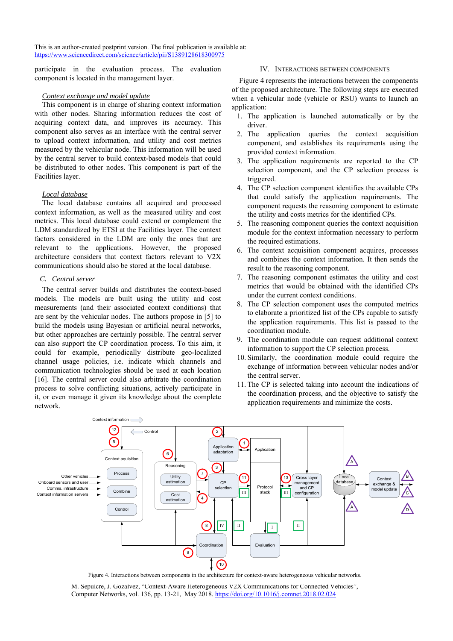participate in the evaluation process. The evaluation component is located in the management layer.

# *Context exchange and model update*

This component is in charge of sharing context information with other nodes. Sharing information reduces the cost of acquiring context data, and improves its accuracy. This component also serves as an interface with the central server to upload context information, and utility and cost metrics measured by the vehicular node. This information will be used by the central server to build context-based models that could be distributed to other nodes. This component is part of the Facilities layer.

## *Local database*

The local database contains all acquired and processed context information, as well as the measured utility and cost metrics. This local database could extend or complement the LDM standardized by ETSI at the Facilities layer. The context factors considered in the LDM are only the ones that are relevant to the applications. However, the proposed architecture considers that context factors relevant to V2X communications should also be stored at the local database.

# *C. Central server*

The central server builds and distributes the context-based models. The models are built using the utility and cost measurements (and their associated context conditions) that are sent by the vehicular nodes. The authors propose in [5] to build the models using Bayesian or artificial neural networks, but other approaches are certainly possible. The central server can also support the CP coordination process. To this aim, it could for example, periodically distribute geo-localized channel usage policies, i.e. indicate which channels and communication technologies should be used at each location [16]. The central server could also arbitrate the coordination process to solve conflicting situations, actively participate in it, or even manage it given its knowledge about the complete network.

## IV. INTERACTIONS BETWEEN COMPONENTS

Figure 4 represents the interactions between the components of the proposed architecture. The following steps are executed when a vehicular node (vehicle or RSU) wants to launch an application:

- 1. The application is launched automatically or by the driver.
- 2. The application queries the context acquisition component, and establishes its requirements using the provided context information.
- 3. The application requirements are reported to the CP selection component, and the CP selection process is triggered.
- 4. The CP selection component identifies the available CPs that could satisfy the application requirements. The component requests the reasoning component to estimate the utility and costs metrics for the identified CPs.
- 5. The reasoning component queries the context acquisition module for the context information necessary to perform the required estimations.
- 6. The context acquisition component acquires, processes and combines the context information. It then sends the result to the reasoning component.
- 7. The reasoning component estimates the utility and cost metrics that would be obtained with the identified CPs under the current context conditions.
- 8. The CP selection component uses the computed metrics to elaborate a prioritized list of the CPs capable to satisfy the application requirements. This list is passed to the coordination module.
- 9. The coordination module can request additional context information to support the CP selection process.
- 10. Similarly, the coordination module could require the exchange of information between vehicular nodes and/or the central server.
- 11. The CP is selected taking into account the indications of the coordination process, and the objective to satisfy the application requirements and minimize the costs.



Figure 4. Interactions between components in the architecture for context-aware heterogeneous vehicular networks.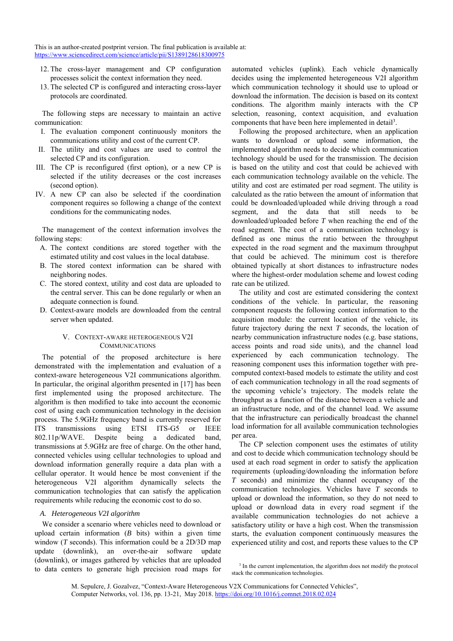- 12. The cross-layer management and CP configuration processes solicit the context information they need.
- 13. The selected CP is configured and interacting cross-layer protocols are coordinated.

The following steps are necessary to maintain an active communication:

- I. The evaluation component continuously monitors the communications utility and cost of the current CP.
- II. The utility and cost values are used to control the selected CP and its configuration.
- III. The CP is reconfigured (first option), or a new CP is selected if the utility decreases or the cost increases (second option).
- IV. A new CP can also be selected if the coordination component requires so following a change of the context conditions for the communicating nodes.

The management of the context information involves the following steps:

- A. The context conditions are stored together with the estimated utility and cost values in the local database.
- B. The stored context information can be shared with neighboring nodes.
- C. The stored context, utility and cost data are uploaded to the central server. This can be done regularly or when an adequate connection is found.
- D. Context-aware models are downloaded from the central server when updated.

## V. CONTEXT-AWARE HETEROGENEOUS V2I **COMMUNICATIONS**

The potential of the proposed architecture is here demonstrated with the implementation and evaluation of a context-aware heterogeneous V2I communications algorithm. In particular, the original algorithm presented in [17] has been first implemented using the proposed architecture. The algorithm is then modified to take into account the economic cost of using each communication technology in the decision process. The 5.9GHz frequency band is currently reserved for ITS transmissions using ETSI ITS-G5 or IEEE 802.11p/WAVE. Despite being a dedicated band, transmissions at 5.9GHz are free of charge. On the other hand, connected vehicles using cellular technologies to upload and download information generally require a data plan with a cellular operator. It would hence be most convenient if the heterogeneous V2I algorithm dynamically selects the communication technologies that can satisfy the application requirements while reducing the economic cost to do so.

# *A. Heterogeneous V2I algorithm*

We consider a scenario where vehicles need to download or upload certain information (*B* bits) within a given time window (*T* seconds). This information could be a 2D/3D map update (downlink), an over-the-air software update (downlink), or images gathered by vehicles that are uploaded to data centers to generate high precision road maps for automated vehicles (uplink). Each vehicle dynamically decides using the implemented heterogeneous V2I algorithm which communication technology it should use to upload or download the information. The decision is based on its context conditions. The algorithm mainly interacts with the CP selection, reasoning, context acquisition, and evaluation components that have been here implemented in detail<sup>3</sup>.

Following the proposed architecture, when an application wants to download or upload some information, the implemented algorithm needs to decide which communication technology should be used for the transmission. The decision is based on the utility and cost that could be achieved with each communication technology available on the vehicle. The utility and cost are estimated per road segment. The utility is calculated as the ratio between the amount of information that could be downloaded/uploaded while driving through a road segment, and the data that still needs to be downloaded/uploaded before *T* when reaching the end of the road segment. The cost of a communication technology is defined as one minus the ratio between the throughput expected in the road segment and the maximum throughput that could be achieved. The minimum cost is therefore obtained typically at short distances to infrastructure nodes where the highest-order modulation scheme and lowest coding rate can be utilized.

The utility and cost are estimated considering the context conditions of the vehicle. In particular, the reasoning component requests the following context information to the acquisition module: the current location of the vehicle, its future trajectory during the next *T* seconds, the location of nearby communication infrastructure nodes (e.g. base stations, access points and road side units), and the channel load experienced by each communication technology. The reasoning component uses this information together with precomputed context-based models to estimate the utility and cost of each communication technology in all the road segments of the upcoming vehicle's trajectory. The models relate the throughput as a function of the distance between a vehicle and an infrastructure node, and of the channel load. We assume that the infrastructure can periodically broadcast the channel load information for all available communication technologies per area.

The CP selection component uses the estimates of utility and cost to decide which communication technology should be used at each road segment in order to satisfy the application requirements (uploading/downloading the information before *T* seconds) and minimize the channel occupancy of the communication technologies. Vehicles have *T* seconds to upload or download the information, so they do not need to upload or download data in every road segment if the available communication technologies do not achieve a satisfactory utility or have a high cost. When the transmission starts, the evaluation component continuously measures the experienced utility and cost, and reports these values to the CP

<sup>&</sup>lt;sup>3</sup> In the current implementation, the algorithm does not modify the protocol stack the communication technologies.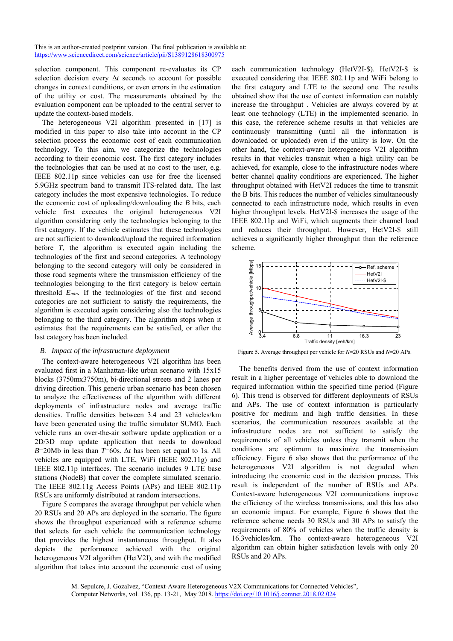selection component. This component re-evaluates its CP selection decision every Δ*t* seconds to account for possible changes in context conditions, or even errors in the estimation of the utility or cost. The measurements obtained by the evaluation component can be uploaded to the central server to update the context-based models.

The heterogeneous V2I algorithm presented in [17] is modified in this paper to also take into account in the CP selection process the economic cost of each communication technology. To this aim, we categorize the technologies according to their economic cost. The first category includes the technologies that can be used at no cost to the user, e.g. IEEE 802.11p since vehicles can use for free the licensed 5.9GHz spectrum band to transmit ITS-related data. The last category includes the most expensive technologies. To reduce the economic cost of uploading/downloading the *B* bits, each vehicle first executes the original heterogeneous V2I algorithm considering only the technologies belonging to the first category. If the vehicle estimates that these technologies are not sufficient to download/upload the required information before *T*, the algorithm is executed again including the technologies of the first and second categories. A technology belonging to the second category will only be considered in those road segments where the transmission efficiency of the technologies belonging to the first category is below certain threshold *Emin*. If the technologies of the first and second categories are not sufficient to satisfy the requirements, the algorithm is executed again considering also the technologies belonging to the third category. The algorithm stops when it estimates that the requirements can be satisfied, or after the last category has been included.

# *B. Impact of the infrastructure deployment*

The context-aware heterogeneous V2I algorithm has been evaluated first in a Manhattan-like urban scenario with 15x15 blocks (3750mx3750m), bi-directional streets and 2 lanes per driving direction. This generic urban scenario has been chosen to analyze the effectiveness of the algorithm with different deployments of infrastructure nodes and average traffic densities. Traffic densities between 3.4 and 23 vehicles/km have been generated using the traffic simulator SUMO. Each vehicle runs an over-the-air software update application or a 2D/3D map update application that needs to download *B*=20Mb in less than *T*=60s. Δ*t* has been set equal to 1s. All vehicles are equipped with LTE, WiFi (IEEE 802.11g) and IEEE 802.11p interfaces. The scenario includes 9 LTE base stations (NodeB) that cover the complete simulated scenario. The IEEE 802.11g Access Points (APs) and IEEE 802.11p RSUs are uniformly distributed at random intersections.

Figure 5 compares the average throughput per vehicle when 20 RSUs and 20 APs are deployed in the scenario. The figure shows the throughput experienced with a reference scheme that selects for each vehicle the communication technology that provides the highest instantaneous throughput. It also depicts the performance achieved with the original heterogeneous V2I algorithm (HetV2I), and with the modified algorithm that takes into account the economic cost of using each communication technology (HetV2I-\$). HetV2I-\$ is executed considering that IEEE 802.11p and WiFi belong to the first category and LTE to the second one. The results obtained show that the use of context information can notably increase the throughput . Vehicles are always covered by at least one technology (LTE) in the implemented scenario. In this case, the reference scheme results in that vehicles are continuously transmitting (until all the information is downloaded or uploaded) even if the utility is low. On the other hand, the context-aware heterogeneous V2I algorithm results in that vehicles transmit when a high utility can be achieved, for example, close to the infrastructure nodes where better channel quality conditions are experienced. The higher throughput obtained with HetV2I reduces the time to transmit the B bits. This reduces the number of vehicles simultaneously connected to each infrastructure node, which results in even higher throughput levels. HetV2I-\$ increases the usage of the IEEE 802.11p and WiFi, which augments their channel load and reduces their throughput. However, HetV2I-\$ still achieves a significantly higher throughput than the reference scheme.



Figure 5. Average throughput per vehicle for *N*=20 RSUs and *N*=20 APs.

The benefits derived from the use of context information result in a higher percentage of vehicles able to download the required information within the specified time period (Figure 6). This trend is observed for different deployments of RSUs and APs. The use of context information is particularly positive for medium and high traffic densities. In these scenarios, the communication resources available at the infrastructure nodes are not sufficient to satisfy the requirements of all vehicles unless they transmit when the conditions are optimum to maximize the transmission efficiency. Figure 6 also shows that the performance of the heterogeneous V2I algorithm is not degraded when introducing the economic cost in the decision process. This result is independent of the number of RSUs and APs. Context-aware heterogeneous V2I communications improve the efficiency of the wireless transmissions, and this has also an economic impact. For example, Figure 6 shows that the reference scheme needs 30 RSUs and 30 APs to satisfy the requirements of 80% of vehicles when the traffic density is 16.3vehicles/km. The context-aware heterogeneous V2I algorithm can obtain higher satisfaction levels with only 20 RSUs and 20 APs.

M. Sepulcre, J. Gozalvez, "Context-Aware Heterogeneous V2X Communications for Connected Vehicles", Computer Networks, vol. 136, pp. 13-21, May 2018. https://doi.org/10.1016/j.comnet.2018.02.024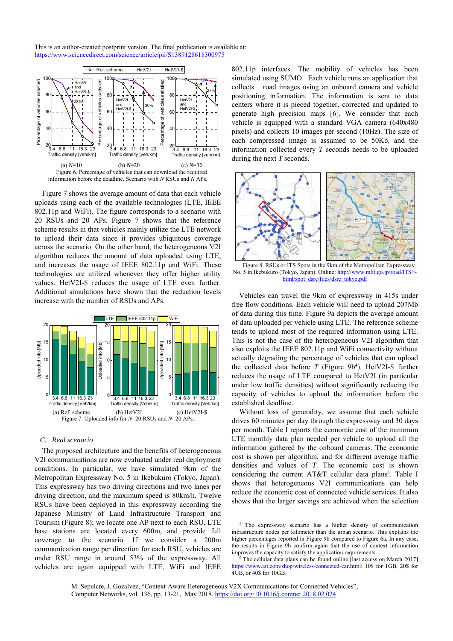

Figure 7 shows the average amount of data that each vehicle uploads using each of the available technologies (LTE, IEEE 802.11p and WiFi). The figure corresponds to a scenario with 20 RSUs and 20 APs. Figure 7 shows that the reference scheme results in that vehicles mainly utilize the LTE network to upload their data since it provides ubiquitous coverage across the scenario. On the other hand, the heterogeneous V2I algorithm reduces the amount of data uploaded using LTE, and increases the usage of IEEE 802.11p and WiFi. These technologies are utilized whenever they offer higher utility values. HetV2I-\$ reduces the usage of LTE even further. Additional simulations have shown that the reduction levels increase with the number of RSUs and APs.



### *C. Real scenario*

The proposed architecture and the benefits of heterogeneous V2I communications are now evaluated under real deployment conditions. In particular, we have simulated 9km of the Metropolitan Expressway No. 5 in Ikebukuro (Tokyo, Japan). This expressway has two driving directions and two lanes per driving direction, and the maximum speed is 80km/h. Twelve RSUs have been deployed in this expressway according the Japanese Ministry of Land Infrastructure Transport and Tourism (Figure 8); we locate one AP next to each RSU. LTE base stations are located every 600m, and provide full coverage to the scenario. If we consider a 200m communication range per direction for each RSU, vehicles are under RSU range in around 53% of the expressway. All vehicles are again equipped with LTE, WiFi and IEEE 802.11p interfaces. The mobility of vehicles has been simulated using SUMO. Each vehicle runs an application that collects road images using an onboard camera and vehicle positioning information. The information is sent to data centers where it is pieced together, corrected and updated to generate high precision maps [6]. We consider that each vehicle is equipped with a standard VGA camera (640x480 pixels) and collects 10 images per second (10Hz). The size of each compressed image is assumed to be 50Kb, and the information collected every *T* seconds needs to be uploaded during the next *T* seconds.



 Figure 8. RSUs or ITS Spots in the 9km of the Metropolitan Expressway No. 5 in Ikebukuro (Tokyo, Japan). Online: http://www.mlit.go.jp/road/ITS/jhtml/spot\_dsrc/files/dsrc\_tokyo.pdf

Vehicles can travel the 9km of expressway in 415s under free flow conditions. Each vehicle will need to upload 207Mb of data during this time. Figure 9a depicts the average amount of data uploaded per vehicle using LTE. The reference scheme tends to upload most of the required information using LTE. This is not the case of the heterogeneous V2I algorithm that also exploits the IEEE 802.11p and WiFi connectivity without actually degrading the percentage of vehicles that can upload the collected data before  $T$  (Figure 9b<sup>4</sup>). HetV2I-\$ further reduces the usage of LTE compared to HetV2I (in particular under low traffic densities) without significantly reducing the capacity of vehicles to upload the information before the established deadline.

Without loss of generality, we assume that each vehicle drives 60 minutes per day through the expressway and 30 days per month. Table I reports the economic cost of the minimum LTE monthly data plan needed per vehicle to upload all the information gathered by the onboard cameras. The economic cost is shown per algorithm, and for different average traffic densities and values of *T*. The economic cost is shown considering the current AT&T cellular data plans<sup>5</sup>. Table I shows that heterogeneous V2I communications can help reduce the economic cost of connected vehicle services. It also shows that the larger savings are achieved when the selection

<sup>4</sup> The expressway scenario has a higher density of communication infrastructure nodes per kilometer than the urban scenario. This explains the higher percentages reported in Figure 9b compared to Figure 6a. In any case, the results in Figure 9b confirm again that the use of context information improves the capacity to satisfy the application requirements.

The cellular data plans can be found online [last access on March 2017] https://www.att.com/shop/wireless/connected-car.html: 10\$ for 1GB, 20\$ for 4GB, or 40\$ for 10GB.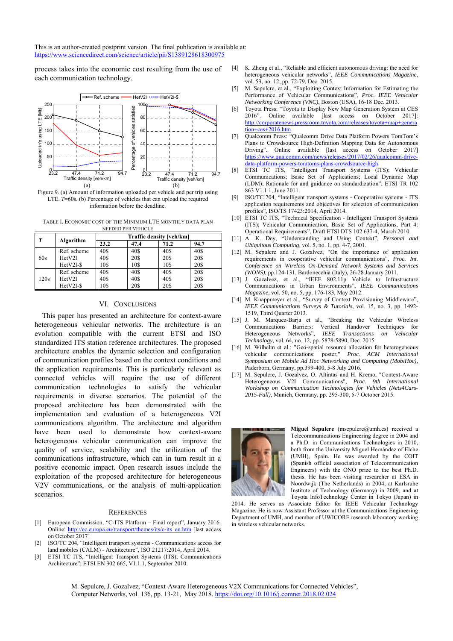process takes into the economic cost resulting from the use of each communication technology.



Figure 9. (a) Amount of information uploaded per vehicle and per trip using LTE. *T*=60s. (b) Percentage of vehicles that can upload the required information before the deadline.

TABLE I. ECONOMIC COST OF THE MINIMUM LTE MONTHLY DATA PLAN NEEDED PER VEHICLE

| T    | Algorithm   | Traffic density [veh/km] |      |      |      |
|------|-------------|--------------------------|------|------|------|
|      |             | 23.2                     | 47.4 | 71.2 | 94.7 |
| 60s  | Ref. scheme | 40\$                     | 40\$ | 40\$ | 40\$ |
|      | HetV2I      | 40\$                     | 20\$ | 20\$ | 20\$ |
|      | $HetV2I-S$  | 10\$                     | 10\$ | 10\$ | 20\$ |
| 120s | Ref. scheme | 40\$                     | 40\$ | 40\$ | 20\$ |
|      | HetV2I      | 40\$                     | 40\$ | 40\$ | 20\$ |
|      | $HetV2I-S$  | 10\$                     | 20\$ | 20\$ | 20\$ |

#### VI. CONCLUSIONS

This paper has presented an architecture for context-aware heterogeneous vehicular networks. The architecture is an evolution compatible with the current ETSI and ISO standardized ITS station reference architectures. The proposed architecture enables the dynamic selection and configuration of communication profiles based on the context conditions and the application requirements. This is particularly relevant as connected vehicles will require the use of different communication technologies to satisfy the vehicular requirements in diverse scenarios. The potential of the proposed architecture has been demonstrated with the implementation and evaluation of a heterogeneous V2I communications algorithm. The architecture and algorithm have been used to demonstrate how context-aware heterogeneous vehicular communication can improve the quality of service, scalability and the utilization of the communications infrastructure, which can in turn result in a positive economic impact. Open research issues include the exploitation of the proposed architecture for heterogeneous V2V communications, or the analysis of multi-application scenarios.

#### **REFERENCES**

- [1] European Commission, "C-ITS Platform Final report", January 2016. Online: http://ec.europa.eu/transport/themes/its/c-its\_en.htm [last access on October 2017]
- [2] ISO/TC 204, "Intelligent transport systems Communications access for land mobiles (CALM) - Architecture", ISO 21217:2014, April 2014.
- [3] ETSI TC ITS, "Intelligent Transport Systems (ITS); Communications Architecture", ETSI EN 302 665, V1.1.1, September 2010.
- [4] K. Zheng et al., "Reliable and efficient autonomous driving: the need for heterogeneous vehicular networks", *IEEE Communications Magazine*, vol. 53, no. 12, pp. 72-79, Dec. 2015.
- [5] M. Sepulcre, et al., "Exploiting Context Information for Estimating the Performance of Vehicular Communications", *Proc. IEEE Vehicular Networking Conference (VNC)*, Boston (USA), 16-18 Dec. 2013.
- Toyota Press: "Toyota to Display New Map Generation System at CES 2016". Online available [last access on October 2017]: http://corporatenews.pressroom.toyota.com/releases/toyota+map+genera tion+ces+2016.htm
- [7] Qualcomm Press: "Qualcomm Drive Data Platform Powers TomTom's Plans to Crowdsource High-Definition Mapping Data for Autonomous Driving". Online available [last access on October 2017] https://www.qualcomm.com/news/releases/2017/02/26/qualcomm-drivedata-platform-powers-tomtoms-plans-crowdsource-high
- [8] ETSI TC ITS, "Intelligent Transport Systems (ITS); Vehicular Communications; Basic Set of Applications; Local Dynamic Map (LDM); Rationale for and guidance on standardization", ETSI TR 102 863 V1.1.1, June 2011.
- [9] ISO/TC 204, "Intelligent transport systems Cooperative systems ITS application requirements and objectives for selection of communication profiles", ISO/TS 17423:2014, April 2014.
- [10] ETSI TC ITS, "Technical Specification Intelligent Transport Systems (ITS); Vehicular Communication, Basic Set of Applications, Part 4: Operational Requirements", Draft ETSI DTS 102 637-4, March 2010.
- [11] A. K. Dey, "Understanding and Using Context", *Personal and Ubiquitous Computing*, vol. 5, no. 1, pp. 4-7, 2001.
- [12] M. Sepulcre and J. Gozalvez, "On the importance of application requirements in cooperative vehicular communications", *Proc. Int. Conference on Wireless On-Demand Network Systems and Services (WONS)*, pp.124-131, Bardonecchia (Italy), 26-28 January 2011.
- [13] J. Gozalvez, et al., "IEEE 802.11p Vehicle to Infrastructure Communications in Urban Environments", *IEEE Communications Magazine*, vol. 50, no. 5, pp. 176-183, May 2012.
- [14] M. Knappmeyer et al., "Survey of Context Provisioning Middleware", *IEEE Communications Surveys & Tutorials*, vol. 15, no. 3, pp. 1492- 1519, Third Quarter 2013.
- [15] J. M. Marquez-Barja et al., "Breaking the Vehicular Wireless Communications Barriers: Vertical Handover Techniques for<br>Heterogeneous Networks", IEEE Transactions on Vehicular Heterogeneous Networks", *IEEE Transactions on Technology*, vol. 64, no. 12, pp. 5878-5890, Dec. 2015.
- [16] M. Wilhelm et al.: "Geo-spatial resource allocation for heterogeneous vehicular communications: poster," *Proc. ACM International Symposium on Mobile Ad Hoc Networking and Computing (MobiHoc)*, Paderborn, Germany, pp.399-400, 5-8 July 2016.
- [17] M. Sepulcre, J. Gozalvez, O. Altintas and H. Kremo, "Context-Aware Heterogeneous V2I Communications", *Proc. 9th International Workshop on Communication Technologies for Vehicles (Nets4Cars-2015-Fall)*, Munich, Germany, pp. 295-300, 5-7 October 2015.



**Miguel Sepulcre** (msepulcre@umh.es) received a Telecommunications Engineering degree in 2004 and a Ph.D. in Communications Technologies in 2010, both from the University Miguel Hernández of Elche (UMH), Spain. He was awarded by the COIT (Spanish official association of Telecommunication Engineers) with the ONO prize to the best Ph.D. thesis. He has been visiting researcher at ESA in Noordwijk (The Netherlands) in 2004, at Karlsruhe Institute of Technology (Germany) in 2009, and at Toyota InfoTechnology Center in Tokyo (Japan) in

2014. He serves as Associate Editor for IEEE Vehicular Technology Magazine. He is now Assistant Professor at the Communications Engineering Department of UMH, and member of UWICORE research laboratory working in wireless vehicular networks.